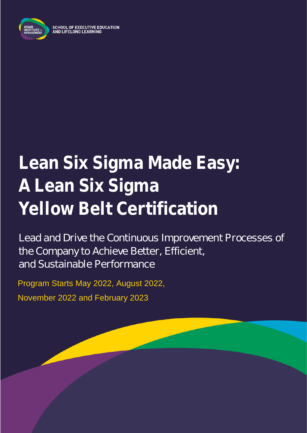

# **Lean Six Sigma Made Easy: A Lean Six Sigma Yellow Belt Certification**

Lead and Drive the Continuous Improvement Processes of the Company to Achieve Better, Efficient, and Sustainable Performance

Program Starts May 2022, August 2022, November 2022 and February 2023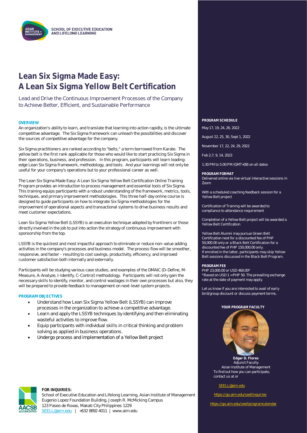

### **Lean Six Sigma Made Easy: A Lean Six Sigma Yellow Belt Certification**

Lead and Drive the Continuous Improvement Processes of the Company to Achieve Better, Efficient, and Sustainable Performance

### **OVERVIEW PROGRAM SCHEDULE**

An organization's ability to learn, and translate that learning into action rapidly, is the ultimate competitive advantage. The Six Sigma framework can unleash the possibilities and discover the sources of competitive advantage for the company.

Six Sigma practitioners are ranked according to "belts," a term borrowed from Karate. The yellow belt is the first rank applicable for those who would like to start practicing Six Sigma in their operations, business, and profession. In this program, participants will learn leadingedge Lean Six Sigma framework, methodology, and tools. And your learnings will not only be useful for your company's operations but to your professional career as well.

The Lean Six Sigma Made Easy: A Lean Six Sigma Yellow Belt Certification Online Training Program provides an introduction to process management and essential tools of Six Sigma. This training equips participants with a robust understanding of the framework, metrics, tools, techniques, and primary improvement methodologies. This three half-day online course is designed to guide participants on how to integrate Six Sigma methodologies for the improvement of operational aspects and transactional systems to drive business results and meet customer expectations.

Lean Six Sigma Yellow Belt (LSSYB) is an execution technique adopted by frontliners or those directly involved in the job to put into action the strategy of continuous improvement with sponsorship from the top.

LSSYB is the quickest and most impactful approach to eliminate or reduce non-value adding activities in the company's processes and business model. The process flow will be smoother, responsive, and faster - resulting to cost savings, productivity, efficiency, and improved customer satisfaction both internally and externally.

Participants will be studying various case studies, and examples of the DMAIC (D-Define, M-Measure, A-Analyze, I-Identify, C-Control) methodology. Participants will not only gain the necessary skills to identify, monitor, and control wastages in their own processes but also, they will be prepared to provide feedback to management on next-level system projects.

#### **PROGRAM OBJECTIVES**

- Understand how Lean Six Sigma Yellow Belt (LSSYB) can improve processes in the organization to achieve a competitive advantage.
- Learn and apply the LSSYB techniques by identifying and then eliminating wasteful activities to improve flow.
- Equip participants with individual skills in critical thinking and problem solving as applied in business operations.
- Undergo process and implementation of a Yellow Belt project

#### **FOR INQUIRIES:**

School of Executive Education and Lifelong Learning, Asian Institute of Management Eugenio Lopez Foundation Building, Joseph R. McMicking Campus 123 Paseo de Roxas, Makati City Philippines 1229 [SEELL@aim.edu](mailto:SEELL@aim.edu) | +632 8892 4011 | www.aim.edu

May 17, 19, 24, 26, 2022

August 22, 25, 30, Sept 1, 2022

November 17, 22, 24, 29, 2022

Feb 2,7, 9, 14, 2023

1:30 PM to 5:00 PM (GMT+08) on all dates

**PROGRAM FORMAT** Delivered online via live virtual interactive sessions in Zoom

With a scheduled coaching feedback session for a Yellow Belt project

Certification of Training will be awarded to compliance to attendance requirement

Completion of a Yellow Belt project will be awarded a Yellow Belt Certification

Yellow Belt Alumni may pursue Green Belt Certification next for a discounted fee of PHP 50,000.00 only or a Black Belt Certification for a discounted fee of PHP 150,000.00 only. If enrolled in the latter, participants may skip Yellow Belt sessions discussed in the Black Belt Program.

**PROGRAM FEE**

PHP 23,000.00 or USD 460.00\* \*Based on USD 1 = PHP 50. The prevailing exchange rate at the date of payment may apply.

Let us know if you are interested to avail of early bird/group discount or discuss payment terms.

#### **YOUR PROGRAM FACULTY**



 **Edgar D. Flores** Adjunct Faculty Asian Institute of Management To find out how you can participate, contact us at or

#### [SEELL@aim.edu](mailto:SEELL@aim.edu)

<https://go.aim.edu/seellinquiries>

<https://go.aim.edu/seellprogramcalendar>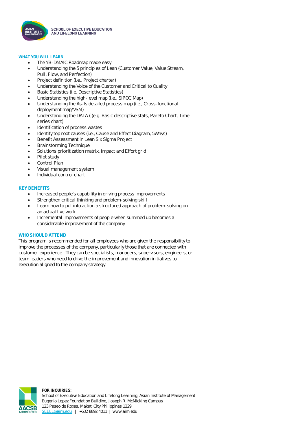

#### **WHAT YOU WILL LEARN**

- The YB-DMAIC Roadmap made easy
- Understanding the 5 principles of Lean (Customer Value, Value Stream, Pull, Flow, and Perfection)
- Project definition (i.e., Project charter)
- Understanding the Voice of the Customer and Critical to Quality
- Basic Statistics (i.e. Descriptive Statistics)
- Understanding the high-level map (I.e., SIPOC Map)
- Understanding the As-Is detailed process map (i.e., Cross-functional deployment map/VSM)
- Understanding the DATA ( (e.g. Basic descriptive stats, Pareto Chart, Time series chart)
- Identification of process wastes
- Identify top root causes (i.e., Cause and Effect Diagram, 5Whys)
- Benefit Assessment in Lean Six Sigma Project
- Brainstorming Technique
- Solutions prioritization matrix, Impact and Effort grid
- Pilot study
- Control Plan
- Visual management system
- Individual control chart

### **KEY BENEFITS**

- Increased people's capability in driving process improvements
- Strengthen critical thinking and problem-solving skill
- Learn how to put into action a structured approach of problem-solving on an actual live work
- Incremental improvements of people when summed up becomes a considerable improvement of the company

#### **WHO SHOULD ATTEND**

This program is recommended for all employees who are given the responsibility to improve the processes of the company, particularly those that are connected with customer experience. They can be specialists, managers, supervisors, engineers, or team leaders who need to drive the improvement and innovation initiatives to execution aligned to the company strategy.



**FOR INQUIRIES:** School of Executive Education and Lifelong Learning, Asian Institute of Management Eugenio Lopez Foundation Building, Joseph R. McMicking Campus 123 Paseo de Roxas, Makati City Philippines 1229 [SEELL@aim.edu](mailto:SEELL@aim.edu) | +632 8892 4011 | www.aim.edu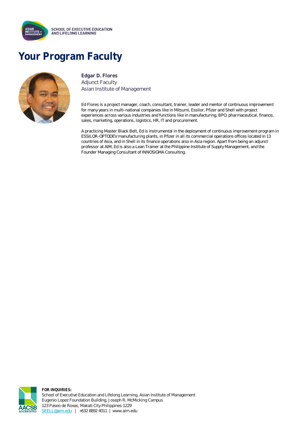

# **Your Program Faculty**



**Edgar D. Flores** Adjunct Faculty Asian Institute of Management

Ed Flores is a project manager, coach, consultant, trainer, leader and mentor of continuous improvement for many years in multi-national companies like in Mitsumi, Essilor, Pfizer and Shell with project experiences across various industries and functions like in manufacturing, BPO, pharmaceutical, finance, sales, marketing, operations, logistics, HR, IT and procurement.

A practicing Master Black Belt, Ed is instrumental in the deployment of continuous improvement program in ESSILOR-OPTODEV manufacturing plants, in Pfizer in all its commercial operations offices located in 13 countries of Asia, and in Shell in its finance operations also in Asia region. Apart from being an adjunct professor at AIM, Ed is also a Lean Trainer at the Philippine Institute of Supply Management, and the Founder Managing Consultant of INNOSIGMA Consulting.



**FOR INQUIRIES:** School of Executive Education and Lifelong Learning, Asian Institute of Management Eugenio Lopez Foundation Building, Joseph R. McMicking Campus 123 Paseo de Roxas, Makati City Philippines 1229 [SEELL@aim.edu](mailto:SEELL@aim.edu) | +632 8892 4011 | www.aim.edu